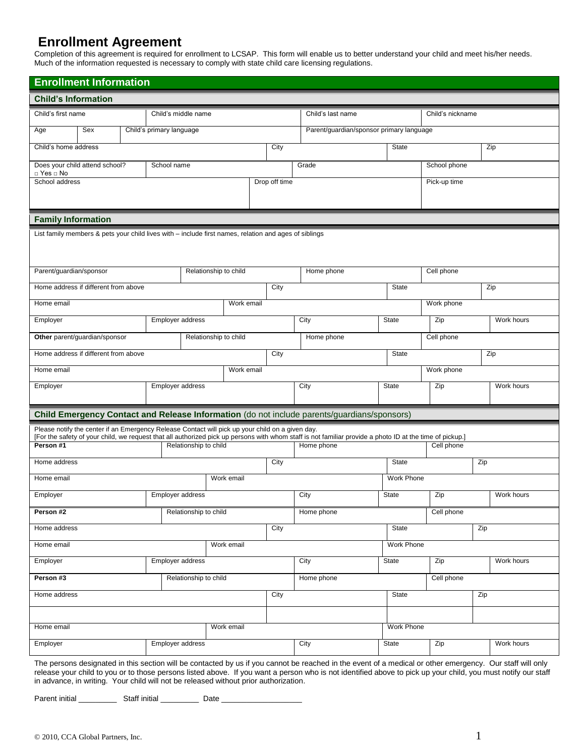## **Enrollment Agreement**

Completion of this agreement is required for enrollment to LCSAP. This form will enable us to better understand your child and meet his/her needs. Much of the information requested is necessary to comply with state child care licensing regulations.

| <b>Enrollment Information</b>                                         |                                      |  |                          |                       |               |                   |                                                                                                                                                                                                                                                                                                                                                                                                                                                                                                                                                                                                                                                                                                                                                             |                                          |                  |              |            |            |            |
|-----------------------------------------------------------------------|--------------------------------------|--|--------------------------|-----------------------|---------------|-------------------|-------------------------------------------------------------------------------------------------------------------------------------------------------------------------------------------------------------------------------------------------------------------------------------------------------------------------------------------------------------------------------------------------------------------------------------------------------------------------------------------------------------------------------------------------------------------------------------------------------------------------------------------------------------------------------------------------------------------------------------------------------------|------------------------------------------|------------------|--------------|------------|------------|------------|
| <b>Child's Information</b>                                            |                                      |  |                          |                       |               |                   |                                                                                                                                                                                                                                                                                                                                                                                                                                                                                                                                                                                                                                                                                                                                                             |                                          |                  |              |            |            |            |
| Child's first name                                                    |                                      |  | Child's middle name      |                       |               | Child's last name |                                                                                                                                                                                                                                                                                                                                                                                                                                                                                                                                                                                                                                                                                                                                                             |                                          | Child's nickname |              |            |            |            |
| Age                                                                   | Sex                                  |  | Child's primary language |                       |               |                   |                                                                                                                                                                                                                                                                                                                                                                                                                                                                                                                                                                                                                                                                                                                                                             | Parent/guardian/sponsor primary language |                  |              |            |            |            |
| Child's home address                                                  |                                      |  |                          | City                  |               | State             |                                                                                                                                                                                                                                                                                                                                                                                                                                                                                                                                                                                                                                                                                                                                                             |                                          |                  |              |            |            |            |
| Does your child attend school?<br>School name<br>$\Box$ Yes $\Box$ No |                                      |  |                          |                       |               |                   |                                                                                                                                                                                                                                                                                                                                                                                                                                                                                                                                                                                                                                                                                                                                                             |                                          |                  | School phone |            |            |            |
| School address                                                        |                                      |  |                          |                       | Drop off time |                   |                                                                                                                                                                                                                                                                                                                                                                                                                                                                                                                                                                                                                                                                                                                                                             |                                          | Pick-up time     |              |            |            |            |
|                                                                       |                                      |  |                          |                       |               |                   |                                                                                                                                                                                                                                                                                                                                                                                                                                                                                                                                                                                                                                                                                                                                                             |                                          |                  |              |            |            |            |
| <b>Family Information</b>                                             |                                      |  |                          |                       |               |                   |                                                                                                                                                                                                                                                                                                                                                                                                                                                                                                                                                                                                                                                                                                                                                             |                                          |                  |              |            |            |            |
|                                                                       |                                      |  |                          |                       |               |                   |                                                                                                                                                                                                                                                                                                                                                                                                                                                                                                                                                                                                                                                                                                                                                             |                                          |                  |              |            |            |            |
|                                                                       |                                      |  |                          |                       |               |                   |                                                                                                                                                                                                                                                                                                                                                                                                                                                                                                                                                                                                                                                                                                                                                             |                                          |                  |              |            |            |            |
| Parent/guardian/sponsor                                               |                                      |  |                          | Relationship to child |               |                   | Zip<br>Grade<br>List family members & pets your child lives with – include first names, relation and ages of siblings<br>Cell phone<br>Home phone<br>City<br>Zip<br>State<br>Work phone<br>City<br><b>State</b><br>Zip<br>Home phone<br>Cell phone<br>City<br>State<br>Work phone<br>City<br>State<br>Zip<br>Child Emergency Contact and Release Information (do not include parents/guardians/sponsors)<br>Please notify the center if an Emergency Release Contact will pick up your child on a given day.<br>Home phone<br>Cell phone<br>City<br>State<br>Zip<br>Work Phone<br>City<br><b>State</b><br>Zip<br>Home phone<br>Cell phone<br>Zip<br>City<br>State<br>Work Phone<br>City<br>Zip<br>State<br>Home phone<br>Cell phone<br>City<br>State<br>Zip |                                          |                  |              |            |            |            |
|                                                                       | Home address if different from above |  |                          |                       |               |                   |                                                                                                                                                                                                                                                                                                                                                                                                                                                                                                                                                                                                                                                                                                                                                             |                                          |                  |              |            |            |            |
| Home email                                                            |                                      |  |                          |                       |               | Work email        |                                                                                                                                                                                                                                                                                                                                                                                                                                                                                                                                                                                                                                                                                                                                                             |                                          |                  |              |            |            |            |
| Employer                                                              |                                      |  |                          | Employer address      |               |                   |                                                                                                                                                                                                                                                                                                                                                                                                                                                                                                                                                                                                                                                                                                                                                             |                                          |                  |              |            | Work hours |            |
|                                                                       | Other parent/guardian/sponsor        |  |                          | Relationship to child |               |                   |                                                                                                                                                                                                                                                                                                                                                                                                                                                                                                                                                                                                                                                                                                                                                             |                                          |                  |              |            |            |            |
|                                                                       | Home address if different from above |  |                          |                       |               |                   |                                                                                                                                                                                                                                                                                                                                                                                                                                                                                                                                                                                                                                                                                                                                                             |                                          | Zip              |              |            |            |            |
| Home email                                                            |                                      |  |                          |                       | Work email    |                   |                                                                                                                                                                                                                                                                                                                                                                                                                                                                                                                                                                                                                                                                                                                                                             |                                          |                  |              |            |            |            |
| Employer<br>Employer address                                          |                                      |  |                          |                       |               |                   |                                                                                                                                                                                                                                                                                                                                                                                                                                                                                                                                                                                                                                                                                                                                                             |                                          |                  | Work hours   |            |            |            |
|                                                                       |                                      |  |                          |                       |               |                   |                                                                                                                                                                                                                                                                                                                                                                                                                                                                                                                                                                                                                                                                                                                                                             |                                          |                  |              |            |            |            |
|                                                                       |                                      |  |                          |                       |               |                   |                                                                                                                                                                                                                                                                                                                                                                                                                                                                                                                                                                                                                                                                                                                                                             |                                          |                  |              |            |            |            |
| Person #1                                                             |                                      |  |                          | Relationship to child |               |                   | [For the safety of your child, we request that all authorized pick up persons with whom staff is not familiar provide a photo ID at the time of pickup.]                                                                                                                                                                                                                                                                                                                                                                                                                                                                                                                                                                                                    |                                          |                  |              |            |            |            |
| Home address                                                          |                                      |  |                          |                       |               |                   |                                                                                                                                                                                                                                                                                                                                                                                                                                                                                                                                                                                                                                                                                                                                                             |                                          |                  |              |            |            |            |
| Home email                                                            |                                      |  |                          |                       |               | Work email        |                                                                                                                                                                                                                                                                                                                                                                                                                                                                                                                                                                                                                                                                                                                                                             |                                          |                  |              |            |            |            |
| Employer                                                              |                                      |  |                          | Employer address      |               |                   |                                                                                                                                                                                                                                                                                                                                                                                                                                                                                                                                                                                                                                                                                                                                                             |                                          |                  |              |            |            | Work hours |
| Person #2                                                             |                                      |  |                          | Relationship to child |               |                   |                                                                                                                                                                                                                                                                                                                                                                                                                                                                                                                                                                                                                                                                                                                                                             |                                          |                  |              |            |            |            |
| Home address                                                          |                                      |  |                          |                       |               |                   |                                                                                                                                                                                                                                                                                                                                                                                                                                                                                                                                                                                                                                                                                                                                                             |                                          |                  |              |            |            |            |
| Home email                                                            |                                      |  |                          |                       | Work email    |                   |                                                                                                                                                                                                                                                                                                                                                                                                                                                                                                                                                                                                                                                                                                                                                             |                                          |                  |              |            |            |            |
| Employer<br>Employer address                                          |                                      |  |                          |                       |               |                   |                                                                                                                                                                                                                                                                                                                                                                                                                                                                                                                                                                                                                                                                                                                                                             |                                          |                  |              | Work hours |            |            |
| Person #3<br>Relationship to child                                    |                                      |  |                          |                       |               |                   |                                                                                                                                                                                                                                                                                                                                                                                                                                                                                                                                                                                                                                                                                                                                                             |                                          |                  |              |            |            |            |
| Home address                                                          |                                      |  |                          |                       |               |                   |                                                                                                                                                                                                                                                                                                                                                                                                                                                                                                                                                                                                                                                                                                                                                             |                                          |                  |              |            |            |            |
|                                                                       |                                      |  |                          |                       |               |                   |                                                                                                                                                                                                                                                                                                                                                                                                                                                                                                                                                                                                                                                                                                                                                             |                                          |                  |              |            |            |            |
| Home email                                                            |                                      |  |                          |                       |               |                   |                                                                                                                                                                                                                                                                                                                                                                                                                                                                                                                                                                                                                                                                                                                                                             |                                          | Work Phone       |              |            |            |            |
| Employer                                                              |                                      |  |                          |                       |               | Work email        |                                                                                                                                                                                                                                                                                                                                                                                                                                                                                                                                                                                                                                                                                                                                                             |                                          |                  | State        | Zip        |            | Work hours |
| Employer address                                                      |                                      |  |                          |                       |               |                   | City                                                                                                                                                                                                                                                                                                                                                                                                                                                                                                                                                                                                                                                                                                                                                        |                                          |                  |              |            |            |            |

The persons designated in this section will be contacted by us if you cannot be reached in the event of a medical or other emergency. Our staff will only release your child to you or to those persons listed above. If you want a person who is not identified above to pick up your child, you must notify our staff in advance, in writing. Your child will not be released without prior authorization.

Parent initial \_\_\_\_\_\_\_\_\_ Staff initial \_\_\_\_\_\_\_\_\_ Date \_\_\_\_\_\_\_\_\_\_\_\_\_\_\_\_\_\_\_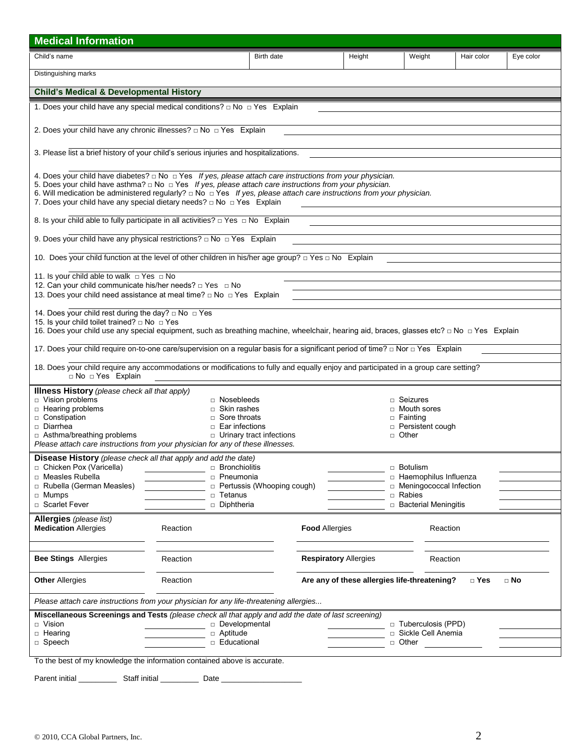| <b>Medical Information</b>                                                                                                                                                                                                                                                                                                                                                                                                                                     |                                                                                       |                                   |        |                                                                                                               |            |           |  |  |  |
|----------------------------------------------------------------------------------------------------------------------------------------------------------------------------------------------------------------------------------------------------------------------------------------------------------------------------------------------------------------------------------------------------------------------------------------------------------------|---------------------------------------------------------------------------------------|-----------------------------------|--------|---------------------------------------------------------------------------------------------------------------|------------|-----------|--|--|--|
| Child's name                                                                                                                                                                                                                                                                                                                                                                                                                                                   |                                                                                       | Birth date                        | Height | Weight                                                                                                        | Hair color | Eye color |  |  |  |
| Distinguishing marks                                                                                                                                                                                                                                                                                                                                                                                                                                           |                                                                                       |                                   |        |                                                                                                               |            |           |  |  |  |
|                                                                                                                                                                                                                                                                                                                                                                                                                                                                | <b>Child's Medical &amp; Developmental History</b>                                    |                                   |        |                                                                                                               |            |           |  |  |  |
| 1. Does your child have any special medical conditions? $\Box$ No $\Box$ Yes Explain                                                                                                                                                                                                                                                                                                                                                                           |                                                                                       |                                   |        |                                                                                                               |            |           |  |  |  |
| 2. Does your child have any chronic illnesses? $\Box$ No $\Box$ Yes Explain                                                                                                                                                                                                                                                                                                                                                                                    |                                                                                       |                                   |        |                                                                                                               |            |           |  |  |  |
|                                                                                                                                                                                                                                                                                                                                                                                                                                                                |                                                                                       |                                   |        |                                                                                                               |            |           |  |  |  |
|                                                                                                                                                                                                                                                                                                                                                                                                                                                                | 3. Please list a brief history of your child's serious injuries and hospitalizations. |                                   |        |                                                                                                               |            |           |  |  |  |
|                                                                                                                                                                                                                                                                                                                                                                                                                                                                |                                                                                       |                                   |        |                                                                                                               |            |           |  |  |  |
| 4. Does your child have diabetes? $\Box$ No $\Box$ Yes If yes, please attach care instructions from your physician.<br>5. Does your child have asthma? $\Box$ No $\Box$ Yes If yes, please attach care instructions from your physician.<br>6. Will medication be administered regularly? $\Box$ No $\Box$ Yes If yes, please attach care instructions from your physician.<br>7. Does your child have any special dietary needs? $\Box$ No $\Box$ Yes Explain |                                                                                       |                                   |        |                                                                                                               |            |           |  |  |  |
| 8. Is your child able to fully participate in all activities? $\Box$ Yes $\Box$ No Explain                                                                                                                                                                                                                                                                                                                                                                     |                                                                                       |                                   |        |                                                                                                               |            |           |  |  |  |
|                                                                                                                                                                                                                                                                                                                                                                                                                                                                |                                                                                       |                                   |        |                                                                                                               |            |           |  |  |  |
| 9. Does your child have any physical restrictions? $\Box$ No $\Box$ Yes Explain                                                                                                                                                                                                                                                                                                                                                                                |                                                                                       |                                   |        |                                                                                                               |            |           |  |  |  |
| 10. Does your child function at the level of other children in his/her age group? $\Box$ Yes $\Box$ No Explain                                                                                                                                                                                                                                                                                                                                                 |                                                                                       |                                   |        |                                                                                                               |            |           |  |  |  |
| 11. Is your child able to walk □ Yes □ No                                                                                                                                                                                                                                                                                                                                                                                                                      |                                                                                       |                                   |        |                                                                                                               |            |           |  |  |  |
| 12. Can your child communicate his/her needs? $\Box$ Yes $\Box$ No                                                                                                                                                                                                                                                                                                                                                                                             |                                                                                       |                                   |        |                                                                                                               |            |           |  |  |  |
| 13. Does your child need assistance at meal time? $\Box$ No $\Box$ Yes Explain                                                                                                                                                                                                                                                                                                                                                                                 |                                                                                       |                                   |        |                                                                                                               |            |           |  |  |  |
| 14. Does your child rest during the day? □ No □ Yes<br>15. Is your child toilet trained? □ No □ Yes<br>16. Does your child use any special equipment, such as breathing machine, wheelchair, hearing aid, braces, glasses etc? □ No □ Yes Explain                                                                                                                                                                                                              |                                                                                       |                                   |        |                                                                                                               |            |           |  |  |  |
| 17. Does your child require on-to-one care/supervision on a regular basis for a significant period of time? □ Nor □ Yes Explain                                                                                                                                                                                                                                                                                                                                |                                                                                       |                                   |        |                                                                                                               |            |           |  |  |  |
| 18. Does your child require any accommodations or modifications to fully and equally enjoy and participated in a group care setting?<br>□ No □ Yes Explain                                                                                                                                                                                                                                                                                                     |                                                                                       |                                   |        |                                                                                                               |            |           |  |  |  |
| <b>Illness History</b> (please check all that apply)<br>D Vision problems<br>□ Nosebleeds<br>$\Box$ Seizures<br>□ Hearing problems<br>$\Box$ Skin rashes<br>□ Mouth sores<br>constipation<br>$\Box$ Sore throats<br>□ Fainting<br>Diarrhea<br>$\Box$ Ear infections<br>□ Persistent cough<br>□ Asthma/breathing problems<br>D Urinary tract infections<br>□ Other<br>Please attach care instructions from your physician for any of these illnesses.           |                                                                                       |                                   |        |                                                                                                               |            |           |  |  |  |
| <b>Disease History</b> (please check all that apply and add the date)                                                                                                                                                                                                                                                                                                                                                                                          |                                                                                       |                                   |        |                                                                                                               |            |           |  |  |  |
| □ Chicken Pox (Varicella)<br>□ Measles Rubella<br>Rubella (German Measles)<br>□ Mumps<br>□ Scarlet Fever                                                                                                                                                                                                                                                                                                                                                       | □ Bronchiolitis<br>n Pneumonia<br>□ Tetanus<br>Diphtheria                             | $\Box$ Pertussis (Whooping cough) |        | □ Botulism<br>□ Haemophilus Influenza<br>□ Meningococcal Infection<br>□ Rabies<br>$\Box$ Bacterial Meningitis |            |           |  |  |  |
| Allergies (please list)<br><b>Medication Allergies</b>                                                                                                                                                                                                                                                                                                                                                                                                         | Reaction                                                                              | <b>Food Allergies</b>             |        | Reaction                                                                                                      |            |           |  |  |  |
| <b>Bee Stings Allergies</b>                                                                                                                                                                                                                                                                                                                                                                                                                                    | Reaction                                                                              | <b>Respiratory Allergies</b>      |        | Reaction                                                                                                      |            |           |  |  |  |
| <b>Other Allergies</b>                                                                                                                                                                                                                                                                                                                                                                                                                                         | Reaction<br>Are any of these allergies life-threatening?<br>□ Yes<br>$\Box$ No        |                                   |        |                                                                                                               |            |           |  |  |  |
| Please attach care instructions from your physician for any life-threatening allergies                                                                                                                                                                                                                                                                                                                                                                         |                                                                                       |                                   |        |                                                                                                               |            |           |  |  |  |
| Miscellaneous Screenings and Tests (please check all that apply and add the date of last screening)<br>□ Vision                                                                                                                                                                                                                                                                                                                                                | Developmental                                                                         |                                   |        | □ Tuberculosis (PPD)                                                                                          |            |           |  |  |  |
| $\Box$ Hearing                                                                                                                                                                                                                                                                                                                                                                                                                                                 | □ Aptitude                                                                            |                                   |        | □ Sickle Cell Anemia                                                                                          |            |           |  |  |  |
| □ Speech                                                                                                                                                                                                                                                                                                                                                                                                                                                       | <b>Educational</b>                                                                    |                                   |        | □ Other                                                                                                       |            |           |  |  |  |
| To the best of my knowledge the information contained above is accurate.                                                                                                                                                                                                                                                                                                                                                                                       |                                                                                       |                                   |        |                                                                                                               |            |           |  |  |  |

| Parent initial | Staff initial | Date |
|----------------|---------------|------|
|                |               |      |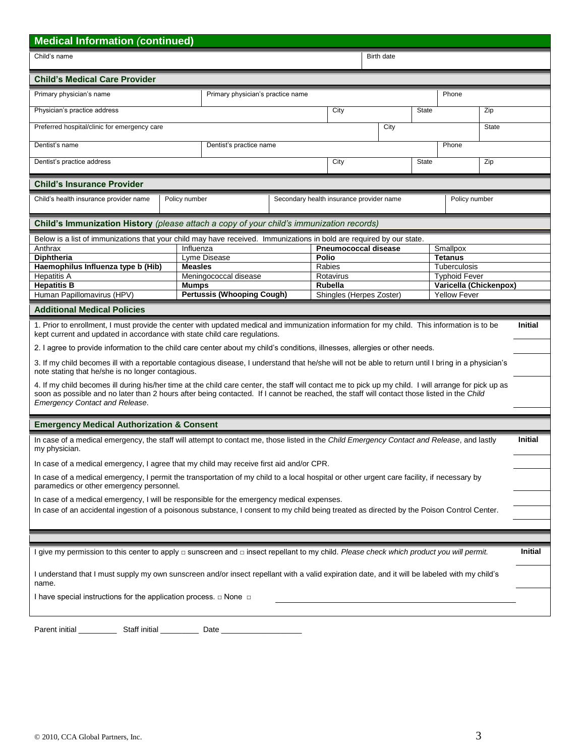| <b>Medical Information (continued)</b>                                                                                                                                                                                                                                                                                                       |                                            |                                   |      |                                            |                                          |       |                                        |                |                |
|----------------------------------------------------------------------------------------------------------------------------------------------------------------------------------------------------------------------------------------------------------------------------------------------------------------------------------------------|--------------------------------------------|-----------------------------------|------|--------------------------------------------|------------------------------------------|-------|----------------------------------------|----------------|----------------|
| Child's name                                                                                                                                                                                                                                                                                                                                 |                                            |                                   |      |                                            | Birth date                               |       |                                        |                |                |
| <b>Child's Medical Care Provider</b>                                                                                                                                                                                                                                                                                                         |                                            |                                   |      |                                            |                                          |       |                                        |                |                |
| Primary physician's name                                                                                                                                                                                                                                                                                                                     | Primary physician's practice name<br>Phone |                                   |      |                                            |                                          |       |                                        |                |                |
| Physician's practice address                                                                                                                                                                                                                                                                                                                 |                                            |                                   |      | City                                       | <b>State</b>                             |       | Zip                                    |                |                |
| Preferred hospital/clinic for emergency care                                                                                                                                                                                                                                                                                                 |                                            |                                   |      | City                                       |                                          |       | <b>State</b>                           |                |                |
| Dentist's name                                                                                                                                                                                                                                                                                                                               |                                            | Dentist's practice name           |      |                                            |                                          | Phone |                                        |                |                |
| Dentist's practice address                                                                                                                                                                                                                                                                                                                   |                                            |                                   | City | <b>State</b>                               |                                          |       | Zip                                    |                |                |
| <b>Child's Insurance Provider</b>                                                                                                                                                                                                                                                                                                            |                                            |                                   |      |                                            |                                          |       |                                        |                |                |
| Child's health insurance provider name                                                                                                                                                                                                                                                                                                       | Policy number                              |                                   |      |                                            | Secondary health insurance provider name |       |                                        | Policy number  |                |
| Child's Immunization History (please attach a copy of your child's immunization records)                                                                                                                                                                                                                                                     |                                            |                                   |      |                                            |                                          |       |                                        |                |                |
| Below is a list of immunizations that your child may have received. Immunizations in bold are required by our state.                                                                                                                                                                                                                         |                                            |                                   |      |                                            |                                          |       |                                        |                |                |
| Anthrax                                                                                                                                                                                                                                                                                                                                      | Influenza                                  |                                   |      | <b>Pneumococcal disease</b>                |                                          |       | Smallpox                               |                |                |
| <b>Diphtheria</b>                                                                                                                                                                                                                                                                                                                            |                                            | Lyme Disease                      |      | <b>Polio</b>                               |                                          |       | <b>Tetanus</b>                         |                |                |
| Haemophilus Influenza type b (Hib)                                                                                                                                                                                                                                                                                                           | <b>Measles</b>                             |                                   |      | Rabies                                     |                                          |       | Tuberculosis                           |                |                |
| <b>Hepatitis A</b>                                                                                                                                                                                                                                                                                                                           |                                            | Meningococcal disease             |      | Rotavirus                                  |                                          |       | <b>Typhoid Fever</b>                   |                |                |
| <b>Hepatitis B</b><br>Human Papillomavirus (HPV)                                                                                                                                                                                                                                                                                             | <b>Mumps</b>                               | <b>Pertussis (Whooping Cough)</b> |      | <b>Rubella</b><br>Shingles (Herpes Zoster) |                                          |       | Varicella (Chickenpox)<br>Yellow Fever |                |                |
|                                                                                                                                                                                                                                                                                                                                              |                                            |                                   |      |                                            |                                          |       |                                        |                |                |
| <b>Additional Medical Policies</b>                                                                                                                                                                                                                                                                                                           |                                            |                                   |      |                                            |                                          |       |                                        |                |                |
| 1. Prior to enrollment, I must provide the center with updated medical and immunization information for my child. This information is to be<br>kept current and updated in accordance with state child care regulations.                                                                                                                     |                                            |                                   |      |                                            |                                          |       |                                        | <b>Initial</b> |                |
| 2. I agree to provide information to the child care center about my child's conditions, illnesses, allergies or other needs.                                                                                                                                                                                                                 |                                            |                                   |      |                                            |                                          |       |                                        |                |                |
| 3. If my child becomes ill with a reportable contagious disease, I understand that he/she will not be able to return until I bring in a physician's<br>note stating that he/she is no longer contagious.                                                                                                                                     |                                            |                                   |      |                                            |                                          |       |                                        |                |                |
| 4. If my child becomes ill during his/her time at the child care center, the staff will contact me to pick up my child. I will arrange for pick up as<br>soon as possible and no later than 2 hours after being contacted. If I cannot be reached, the staff will contact those listed in the Child<br><b>Emergency Contact and Release.</b> |                                            |                                   |      |                                            |                                          |       |                                        |                |                |
|                                                                                                                                                                                                                                                                                                                                              |                                            |                                   |      |                                            |                                          |       |                                        |                |                |
| <b>Emergency Medical Authorization &amp; Consent</b>                                                                                                                                                                                                                                                                                         |                                            |                                   |      |                                            |                                          |       |                                        |                |                |
| In case of a medical emergency, the staff will attempt to contact me, those listed in the Child Emergency Contact and Release, and lastly<br>my physician.                                                                                                                                                                                   |                                            |                                   |      |                                            |                                          |       |                                        |                | <b>Initial</b> |
| In case of a medical emergency, I agree that my child may receive first aid and/or CPR.                                                                                                                                                                                                                                                      |                                            |                                   |      |                                            |                                          |       |                                        |                |                |
| In case of a medical emergency, I permit the transportation of my child to a local hospital or other urgent care facility, if necessary by<br>paramedics or other emergency personnel.                                                                                                                                                       |                                            |                                   |      |                                            |                                          |       |                                        |                |                |
| In case of a medical emergency, I will be responsible for the emergency medical expenses.                                                                                                                                                                                                                                                    |                                            |                                   |      |                                            |                                          |       |                                        |                |                |
| In case of an accidental ingestion of a poisonous substance, I consent to my child being treated as directed by the Poison Control Center.                                                                                                                                                                                                   |                                            |                                   |      |                                            |                                          |       |                                        |                |                |
|                                                                                                                                                                                                                                                                                                                                              |                                            |                                   |      |                                            |                                          |       |                                        |                |                |
|                                                                                                                                                                                                                                                                                                                                              |                                            |                                   |      |                                            |                                          |       |                                        |                |                |
| I give my permission to this center to apply □ sunscreen and □ insect repellant to my child. Please check which product you will permit.                                                                                                                                                                                                     |                                            |                                   |      |                                            |                                          |       |                                        |                | Initial        |
| I understand that I must supply my own sunscreen and/or insect repellant with a valid expiration date, and it will be labeled with my child's<br>name.                                                                                                                                                                                       |                                            |                                   |      |                                            |                                          |       |                                        |                |                |
| I have special instructions for the application process. $\Box$ None $\Box$                                                                                                                                                                                                                                                                  |                                            |                                   |      |                                            |                                          |       |                                        |                |                |
|                                                                                                                                                                                                                                                                                                                                              |                                            |                                   |      |                                            |                                          |       |                                        |                |                |
|                                                                                                                                                                                                                                                                                                                                              |                                            |                                   |      |                                            |                                          |       |                                        |                |                |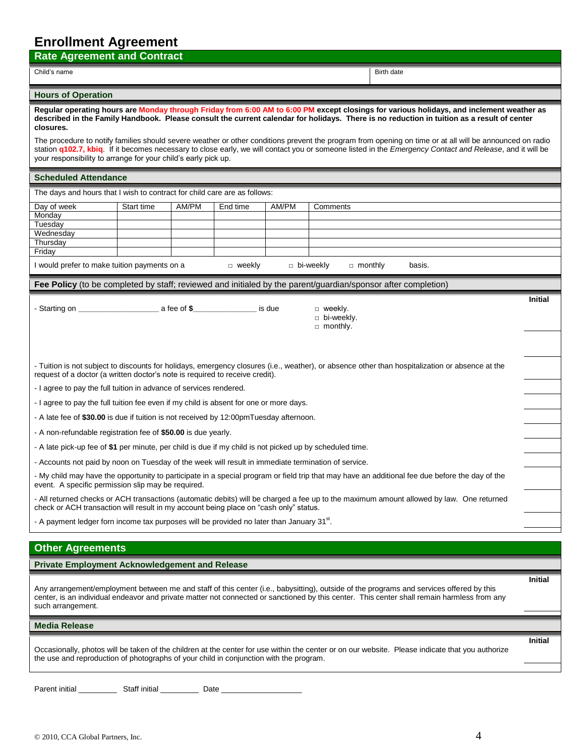## **Enrollment Agreement**

| EIII AIIIIIEIII WALEEIIIEIII<br><b>Rate Agreement and Contract</b>                                                                                                                                                                                                                                                                                                                            |            |       |               |        |                             |                                                                                                                                                  |                |  |
|-----------------------------------------------------------------------------------------------------------------------------------------------------------------------------------------------------------------------------------------------------------------------------------------------------------------------------------------------------------------------------------------------|------------|-------|---------------|--------|-----------------------------|--------------------------------------------------------------------------------------------------------------------------------------------------|----------------|--|
| Child's name                                                                                                                                                                                                                                                                                                                                                                                  |            |       |               |        |                             | Birth date                                                                                                                                       |                |  |
|                                                                                                                                                                                                                                                                                                                                                                                               |            |       |               |        |                             |                                                                                                                                                  |                |  |
| <b>Hours of Operation</b>                                                                                                                                                                                                                                                                                                                                                                     |            |       |               |        |                             |                                                                                                                                                  |                |  |
| Regular operating hours are Monday through Friday from 6:00 AM to 6:00 PM except closings for various holidays, and inclement weather as<br>described in the Family Handbook. Please consult the current calendar for holidays. There is no reduction in tuition as a result of center<br>closures.                                                                                           |            |       |               |        |                             |                                                                                                                                                  |                |  |
| The procedure to notify families should severe weather or other conditions prevent the program from opening on time or at all will be announced on radio<br>station <b>q102.7, kbiq.</b> If it becomes necessary to close early, we will contact you or someone listed in the Emergency Contact and Release, and it will be<br>your responsibility to arrange for your child's early pick up. |            |       |               |        |                             |                                                                                                                                                  |                |  |
| <b>Scheduled Attendance</b>                                                                                                                                                                                                                                                                                                                                                                   |            |       |               |        |                             |                                                                                                                                                  |                |  |
| The days and hours that I wish to contract for child care are as follows:                                                                                                                                                                                                                                                                                                                     |            |       |               |        |                             |                                                                                                                                                  |                |  |
| Day of week                                                                                                                                                                                                                                                                                                                                                                                   | Start time | AM/PM | End time      | AM/PM  | Comments                    |                                                                                                                                                  |                |  |
| Monday<br>Tuesday                                                                                                                                                                                                                                                                                                                                                                             |            |       |               |        |                             |                                                                                                                                                  |                |  |
| Wednesday<br>Thursday                                                                                                                                                                                                                                                                                                                                                                         |            |       |               |        |                             |                                                                                                                                                  |                |  |
| Friday                                                                                                                                                                                                                                                                                                                                                                                        |            |       |               |        |                             |                                                                                                                                                  |                |  |
| I would prefer to make tuition payments on a                                                                                                                                                                                                                                                                                                                                                  |            |       | $\Box$ weekly |        | bi-weekly<br>$\Box$ monthly | basis.                                                                                                                                           |                |  |
| Fee Policy (to be completed by staff; reviewed and initialed by the parent/guardian/sponsor after completion)                                                                                                                                                                                                                                                                                 |            |       |               |        |                             |                                                                                                                                                  |                |  |
|                                                                                                                                                                                                                                                                                                                                                                                               |            |       |               | is due | □ weekly.                   |                                                                                                                                                  | <b>Initial</b> |  |
|                                                                                                                                                                                                                                                                                                                                                                                               |            |       |               |        | bi-weekly.                  |                                                                                                                                                  |                |  |
|                                                                                                                                                                                                                                                                                                                                                                                               |            |       |               |        | monthly.                    |                                                                                                                                                  |                |  |
|                                                                                                                                                                                                                                                                                                                                                                                               |            |       |               |        |                             |                                                                                                                                                  |                |  |
| request of a doctor (a written doctor's note is required to receive credit).                                                                                                                                                                                                                                                                                                                  |            |       |               |        |                             | - Tuition is not subject to discounts for holidays, emergency closures (i.e., weather), or absence other than hospitalization or absence at the  |                |  |
| - I agree to pay the full tuition in advance of services rendered.                                                                                                                                                                                                                                                                                                                            |            |       |               |        |                             |                                                                                                                                                  |                |  |
| - I agree to pay the full tuition fee even if my child is absent for one or more days.                                                                                                                                                                                                                                                                                                        |            |       |               |        |                             |                                                                                                                                                  |                |  |
| - A late fee of \$30.00 is due if tuition is not received by 12:00pmTuesday afternoon.                                                                                                                                                                                                                                                                                                        |            |       |               |        |                             |                                                                                                                                                  |                |  |
| - A non-refundable registration fee of \$50.00 is due yearly.                                                                                                                                                                                                                                                                                                                                 |            |       |               |        |                             |                                                                                                                                                  |                |  |
| - A late pick-up fee of \$1 per minute, per child is due if my child is not picked up by scheduled time.                                                                                                                                                                                                                                                                                      |            |       |               |        |                             |                                                                                                                                                  |                |  |
| - Accounts not paid by noon on Tuesday of the week will result in immediate termination of service.                                                                                                                                                                                                                                                                                           |            |       |               |        |                             |                                                                                                                                                  |                |  |
| event. A specific permission slip may be required.                                                                                                                                                                                                                                                                                                                                            |            |       |               |        |                             | - My child may have the opportunity to participate in a special program or field trip that may have an additional fee due before the day of the  |                |  |
| check or ACH transaction will result in my account being place on "cash only" status.                                                                                                                                                                                                                                                                                                         |            |       |               |        |                             | - All returned checks or ACH transactions (automatic debits) will be charged a fee up to the maximum amount allowed by law. One returned         |                |  |
| - A payment ledger forn income tax purposes will be provided no later than January 31 <sup>st</sup> .                                                                                                                                                                                                                                                                                         |            |       |               |        |                             |                                                                                                                                                  |                |  |
|                                                                                                                                                                                                                                                                                                                                                                                               |            |       |               |        |                             |                                                                                                                                                  |                |  |
| <b>Other Agreements</b>                                                                                                                                                                                                                                                                                                                                                                       |            |       |               |        |                             |                                                                                                                                                  |                |  |
| <b>Private Employment Acknowledgement and Release</b>                                                                                                                                                                                                                                                                                                                                         |            |       |               |        |                             |                                                                                                                                                  |                |  |
| <b>Initial</b><br>Any arrangement/employment between me and staff of this center (i.e., babysitting), outside of the programs and services offered by this<br>center, is an individual endeavor and private matter not connected or sanctioned by this center. This center shall remain harmless from any<br>such arrangement.                                                                |            |       |               |        |                             |                                                                                                                                                  |                |  |
| <b>Media Release</b>                                                                                                                                                                                                                                                                                                                                                                          |            |       |               |        |                             |                                                                                                                                                  |                |  |
| the use and reproduction of photographs of your child in conjunction with the program.                                                                                                                                                                                                                                                                                                        |            |       |               |        |                             | Occasionally, photos will be taken of the children at the center for use within the center or on our website. Please indicate that you authorize | <b>Initial</b> |  |
|                                                                                                                                                                                                                                                                                                                                                                                               |            |       |               |        |                             |                                                                                                                                                  |                |  |